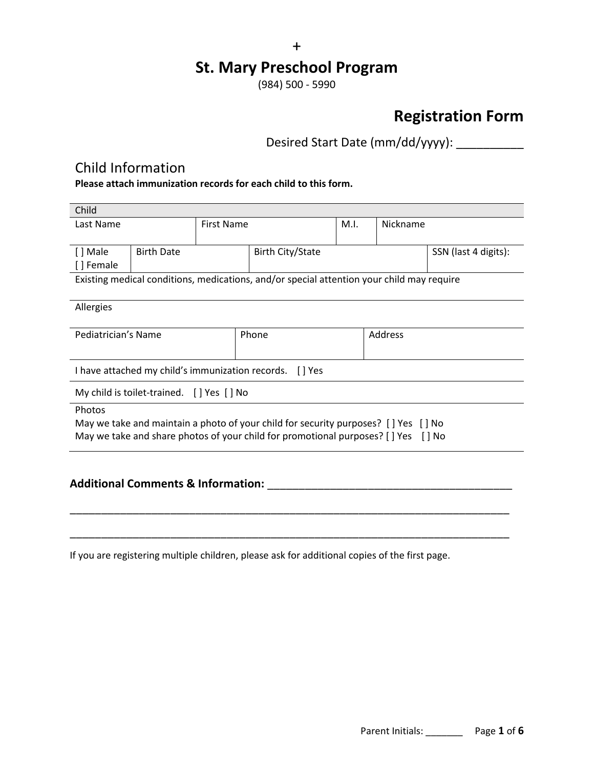# **St. Mary Preschool Program**

(984) 500 - 5990

# **Registration Form**

Desired Start Date (mm/dd/yyyy): \_\_\_\_\_\_\_\_\_\_\_

## Child Information

**Please attach immunization records for each child to this form.**

| Child                                                                              |                   |                   |                                                                                           |      |          |                      |
|------------------------------------------------------------------------------------|-------------------|-------------------|-------------------------------------------------------------------------------------------|------|----------|----------------------|
| Last Name                                                                          |                   | <b>First Name</b> |                                                                                           | M.I. | Nickname |                      |
|                                                                                    |                   |                   |                                                                                           |      |          |                      |
| [] Male                                                                            | <b>Birth Date</b> |                   | <b>Birth City/State</b>                                                                   |      |          | SSN (last 4 digits): |
| [] Female                                                                          |                   |                   |                                                                                           |      |          |                      |
|                                                                                    |                   |                   | Existing medical conditions, medications, and/or special attention your child may require |      |          |                      |
|                                                                                    |                   |                   |                                                                                           |      |          |                      |
| Allergies                                                                          |                   |                   |                                                                                           |      |          |                      |
|                                                                                    |                   |                   |                                                                                           |      |          |                      |
| Pediatrician's Name                                                                |                   |                   | Phone                                                                                     |      | Address  |                      |
|                                                                                    |                   |                   |                                                                                           |      |          |                      |
| I have attached my child's immunization records.<br>[] Yes                         |                   |                   |                                                                                           |      |          |                      |
| My child is toilet-trained. [] Yes [] No                                           |                   |                   |                                                                                           |      |          |                      |
| Photos                                                                             |                   |                   |                                                                                           |      |          |                      |
| May we take and maintain a photo of your child for security purposes? [] Yes [] No |                   |                   |                                                                                           |      |          |                      |
| May we take and share photos of your child for promotional purposes? [] Yes [] No  |                   |                   |                                                                                           |      |          |                      |
|                                                                                    |                   |                   |                                                                                           |      |          |                      |
|                                                                                    |                   |                   |                                                                                           |      |          |                      |

### **Additional Comments & Information:** \_\_\_\_\_\_\_\_\_\_\_\_\_\_\_\_\_\_\_\_\_\_\_\_\_\_\_\_\_\_\_\_\_\_\_\_\_\_\_

If you are registering multiple children, please ask for additional copies of the first page.

\_\_\_\_\_\_\_\_\_\_\_\_\_\_\_\_\_\_\_\_\_\_\_\_\_\_\_\_\_\_\_\_\_\_\_\_\_\_\_\_\_\_\_\_\_\_\_\_\_\_\_\_\_\_\_\_\_\_\_\_\_\_\_\_\_\_\_\_\_\_

\_\_\_\_\_\_\_\_\_\_\_\_\_\_\_\_\_\_\_\_\_\_\_\_\_\_\_\_\_\_\_\_\_\_\_\_\_\_\_\_\_\_\_\_\_\_\_\_\_\_\_\_\_\_\_\_\_\_\_\_\_\_\_\_\_\_\_\_\_\_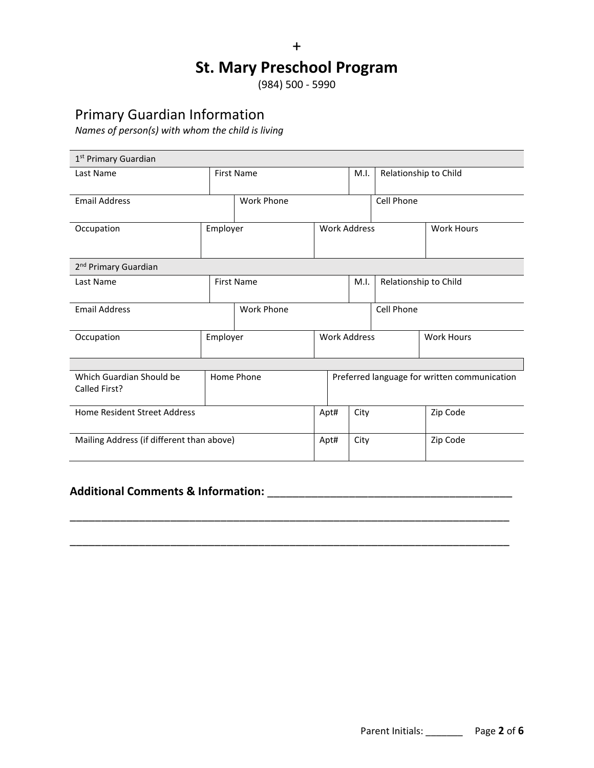+ **St. Mary Preschool Program** 

(984) 500 - 5990

## Primary Guardian Information

*Names of person(s) with whom the child is living*

| 1 <sup>st</sup> Primary Guardian          |                   |                     |                     |                                              |                       |                       |          |
|-------------------------------------------|-------------------|---------------------|---------------------|----------------------------------------------|-----------------------|-----------------------|----------|
| Last Name                                 |                   | <b>First Name</b>   |                     | M.I.                                         |                       | Relationship to Child |          |
| <b>Email Address</b>                      |                   | <b>Work Phone</b>   |                     |                                              | Cell Phone            |                       |          |
| Employer<br>Occupation                    |                   | <b>Work Address</b> |                     |                                              |                       | <b>Work Hours</b>     |          |
| 2 <sup>nd</sup> Primary Guardian          |                   |                     |                     |                                              |                       |                       |          |
| Last Name                                 | <b>First Name</b> |                     |                     | M.I.                                         | Relationship to Child |                       |          |
| <b>Email Address</b>                      |                   | <b>Work Phone</b>   |                     |                                              |                       | Cell Phone            |          |
| Occupation                                | Employer          |                     | <b>Work Address</b> |                                              |                       | <b>Work Hours</b>     |          |
|                                           |                   |                     |                     |                                              |                       |                       |          |
| Which Guardian Should be<br>Called First? | Home Phone        |                     |                     | Preferred language for written communication |                       |                       |          |
| Home Resident Street Address              |                   |                     |                     | Apt#                                         | City                  |                       | Zip Code |
| Mailing Address (if different than above) |                   |                     |                     | Apt#                                         | City                  |                       | Zip Code |

\_\_\_\_\_\_\_\_\_\_\_\_\_\_\_\_\_\_\_\_\_\_\_\_\_\_\_\_\_\_\_\_\_\_\_\_\_\_\_\_\_\_\_\_\_\_\_\_\_\_\_\_\_\_\_\_\_\_\_\_\_\_\_\_\_\_\_\_\_\_

\_\_\_\_\_\_\_\_\_\_\_\_\_\_\_\_\_\_\_\_\_\_\_\_\_\_\_\_\_\_\_\_\_\_\_\_\_\_\_\_\_\_\_\_\_\_\_\_\_\_\_\_\_\_\_\_\_\_\_\_\_\_\_\_\_\_\_\_\_\_

## **Additional Comments & Information:** \_\_\_\_\_\_\_\_\_\_\_\_\_\_\_\_\_\_\_\_\_\_\_\_\_\_\_\_\_\_\_\_\_\_\_\_\_\_\_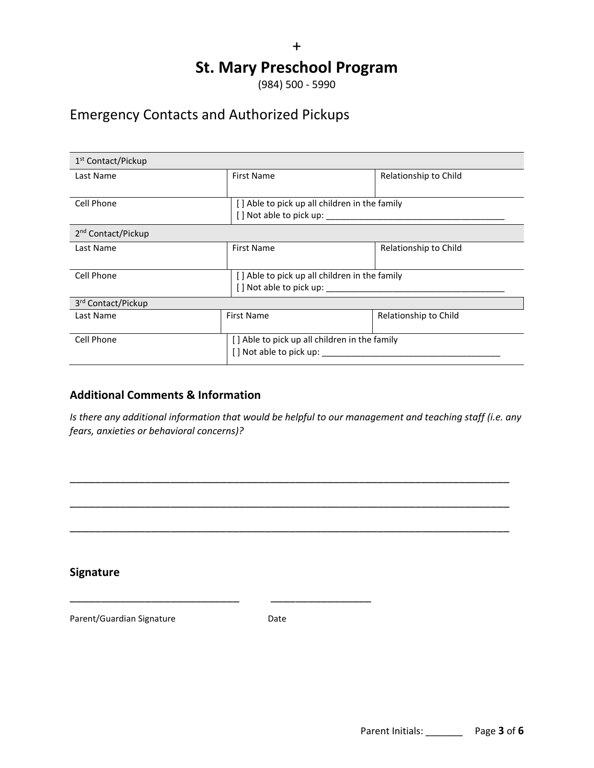# **St. Mary Preschool Program**

(984) 500 - 5990

## Emergency Contacts and Authorized Pickups

| 1 <sup>st</sup> Contact/Pickup |                                               |                       |  |  |
|--------------------------------|-----------------------------------------------|-----------------------|--|--|
| Last Name                      | First Name                                    | Relationship to Child |  |  |
|                                |                                               |                       |  |  |
| Cell Phone                     | [] Able to pick up all children in the family |                       |  |  |
|                                |                                               |                       |  |  |
| 2 <sup>nd</sup> Contact/Pickup |                                               |                       |  |  |
| Last Name                      | <b>First Name</b>                             | Relationship to Child |  |  |
|                                |                                               |                       |  |  |
| Cell Phone                     | [] Able to pick up all children in the family |                       |  |  |
|                                |                                               |                       |  |  |
| 3 <sup>rd</sup> Contact/Pickup |                                               |                       |  |  |
| Last Name                      | <b>First Name</b>                             | Relationship to Child |  |  |
|                                |                                               |                       |  |  |
| Cell Phone                     | [] Able to pick up all children in the family |                       |  |  |
|                                | [] Not able to pick up:                       |                       |  |  |

## **Additional Comments & Information**

*Is there any additional information that would be helpful to our management and teaching staff (i.e. any fears, anxieties or behavioral concerns)?*

\_\_\_\_\_\_\_\_\_\_\_\_\_\_\_\_\_\_\_\_\_\_\_\_\_\_\_\_\_\_\_\_\_\_\_\_\_\_\_\_\_\_\_\_\_\_\_\_\_\_\_\_\_\_\_\_\_\_\_\_\_\_\_\_\_\_\_\_\_\_

\_\_\_\_\_\_\_\_\_\_\_\_\_\_\_\_\_\_\_\_\_\_\_\_\_\_\_\_\_\_\_\_\_\_\_\_\_\_\_\_\_\_\_\_\_\_\_\_\_\_\_\_\_\_\_\_\_\_\_\_\_\_\_\_\_\_\_\_\_\_

\_\_\_\_\_\_\_\_\_\_\_\_\_\_\_\_\_\_\_\_\_\_\_\_\_\_\_\_\_\_\_\_\_\_\_\_\_\_\_\_\_\_\_\_\_\_\_\_\_\_\_\_\_\_\_\_\_\_\_\_\_\_\_\_\_\_\_\_\_\_

### **Signature**

Parent/Guardian Signature **Date** Date

\_\_\_\_\_\_\_\_\_\_\_\_\_\_\_\_\_\_\_\_\_\_\_\_\_\_\_ \_\_\_\_\_\_\_\_\_\_\_\_\_\_\_\_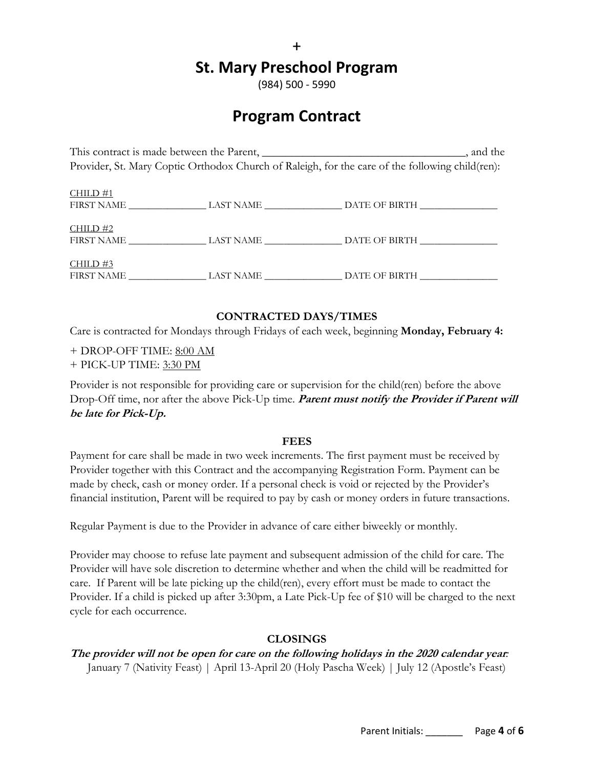## **St. Mary Preschool Program**

(984) 500 - 5990

# **Program Contract**

This contract is made between the Parent, \_\_\_\_\_\_\_\_\_\_\_\_\_\_\_\_\_\_\_\_\_\_\_\_\_\_\_\_\_\_\_, and the Provider, St. Mary Coptic Orthodox Church of Raleigh, for the care of the following child(ren):

| CHILD#1<br><b>FIRST NAME</b>    | LAST NAME | DATE OF BIRTH |
|---------------------------------|-----------|---------------|
| $CHILD$ #2<br><b>FIRST NAME</b> | LAST NAME | DATE OF BIRTH |
| CHILD#3<br><b>FIRST NAME</b>    | LAST NAME | DATE OF BIRTH |

### **CONTRACTED DAYS/TIMES**

Care is contracted for Mondays through Fridays of each week, beginning **Monday, February 4:**

- + DROP-OFF TIME: 8:00 AM
- + PICK-UP TIME: 3:30 PM

Provider is not responsible for providing care or supervision for the child(ren) before the above Drop-Off time, nor after the above Pick-Up time. **Parent must notify the Provider if Parent will be late for Pick-Up.**

#### **FEES**

Payment for care shall be made in two week increments. The first payment must be received by Provider together with this Contract and the accompanying Registration Form. Payment can be made by check, cash or money order. If a personal check is void or rejected by the Provider's financial institution, Parent will be required to pay by cash or money orders in future transactions.

Regular Payment is due to the Provider in advance of care either biweekly or monthly.

Provider may choose to refuse late payment and subsequent admission of the child for care. The Provider will have sole discretion to determine whether and when the child will be readmitted for care. If Parent will be late picking up the child(ren), every effort must be made to contact the Provider. If a child is picked up after 3:30pm, a Late Pick-Up fee of \$10 will be charged to the next cycle for each occurrence.

### **CLOSINGS**

# **The provider will not be open for care on the following holidays in the 2020 calendar year***:*

January 7 (Nativity Feast) | April 13-April 20 (Holy Pascha Week) | July 12 (Apostle's Feast)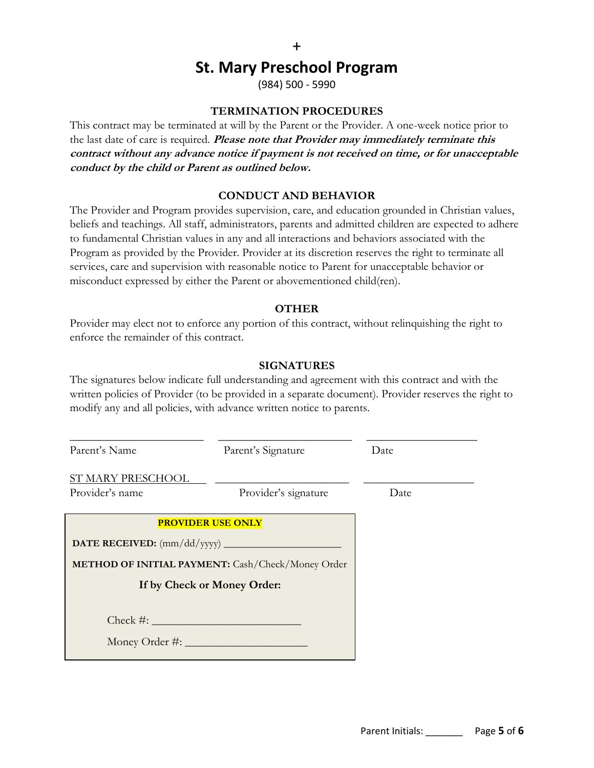## **St. Mary Preschool Program**

(984) 500 - 5990

### **TERMINATION PROCEDURES**

This contract may be terminated at will by the Parent or the Provider. A one-week notice prior to the last date of care is required. **Please note that Provider may immediately terminate this contract without any advance notice if payment is not received on time, or for unacceptable conduct by the child or Parent as outlined below.**

### **CONDUCT AND BEHAVIOR**

The Provider and Program provides supervision, care, and education grounded in Christian values, beliefs and teachings. All staff, administrators, parents and admitted children are expected to adhere to fundamental Christian values in any and all interactions and behaviors associated with the Program as provided by the Provider. Provider at its discretion reserves the right to terminate all services, care and supervision with reasonable notice to Parent for unacceptable behavior or misconduct expressed by either the Parent or abovementioned child(ren).

#### **OTHER**

Provider may elect not to enforce any portion of this contract, without relinquishing the right to enforce the remainder of this contract.

#### **SIGNATURES**

The signatures below indicate full understanding and agreement with this contract and with the written policies of Provider (to be provided in a separate document). Provider reserves the right to modify any and all policies, with advance written notice to parents.

| Parent's Name<br>Parent's Signature                                                                          |                      | Date |  |
|--------------------------------------------------------------------------------------------------------------|----------------------|------|--|
| ST MARY PRESCHOOL<br>Provider's name                                                                         | Provider's signature | Date |  |
| <b>PROVIDER USE ONLY</b><br>METHOD OF INITIAL PAYMENT: Cash/Check/Money Order<br>If by Check or Money Order: |                      |      |  |
| $Check \#:$                                                                                                  |                      |      |  |